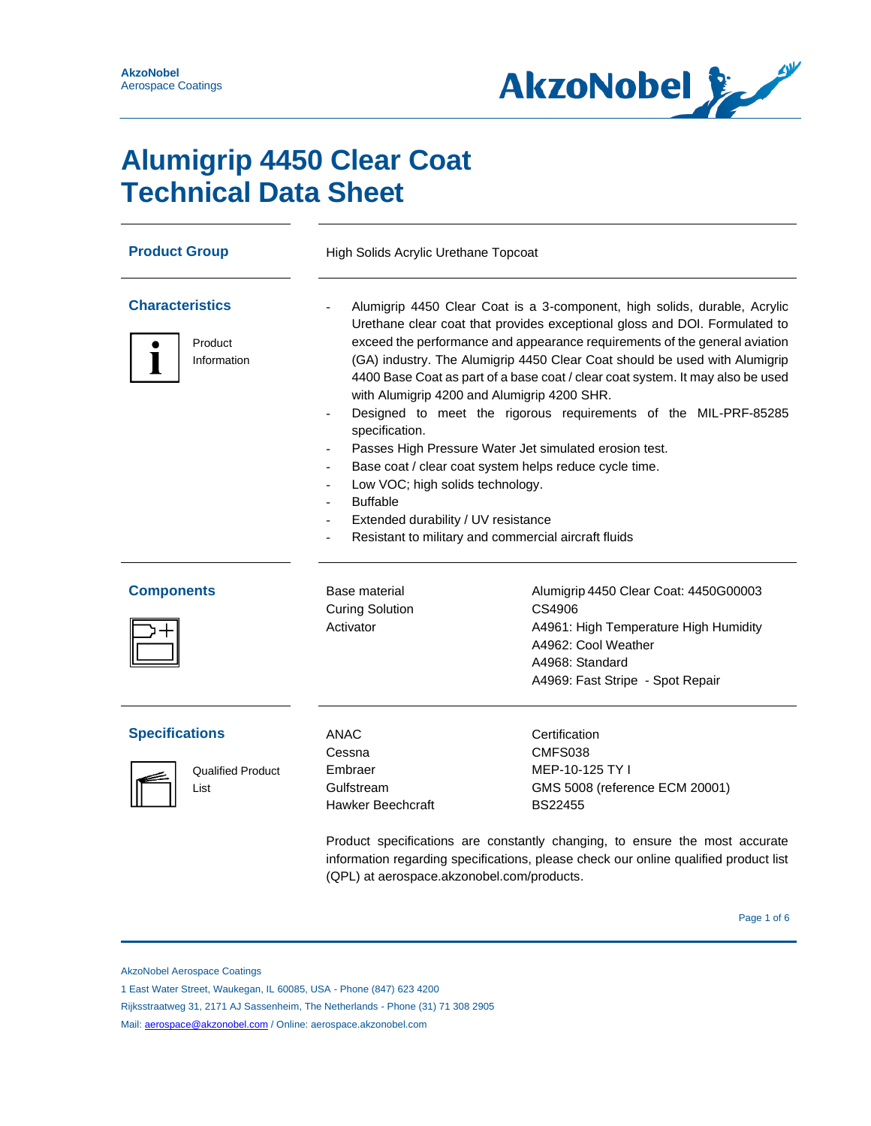

# **Alumigrip 4450 Clear Coat Technical Data Sheet**

| <b>Product Group</b>                                      | High Solids Acrylic Urethane Topcoat                                                                                                                                                                                                                                                                                                                                                                                                                                                                                                                                                                                                                                                                                                                                                                                |                                                                                                                                                                                                                                                                 |  |  |
|-----------------------------------------------------------|---------------------------------------------------------------------------------------------------------------------------------------------------------------------------------------------------------------------------------------------------------------------------------------------------------------------------------------------------------------------------------------------------------------------------------------------------------------------------------------------------------------------------------------------------------------------------------------------------------------------------------------------------------------------------------------------------------------------------------------------------------------------------------------------------------------------|-----------------------------------------------------------------------------------------------------------------------------------------------------------------------------------------------------------------------------------------------------------------|--|--|
| <b>Characteristics</b><br>Product<br>Information          | Alumigrip 4450 Clear Coat is a 3-component, high solids, durable, Acrylic<br>Urethane clear coat that provides exceptional gloss and DOI. Formulated to<br>exceed the performance and appearance requirements of the general aviation<br>(GA) industry. The Alumigrip 4450 Clear Coat should be used with Alumigrip<br>4400 Base Coat as part of a base coat / clear coat system. It may also be used<br>with Alumigrip 4200 and Alumigrip 4200 SHR.<br>Designed to meet the rigorous requirements of the MIL-PRF-85285<br>specification.<br>Passes High Pressure Water Jet simulated erosion test.<br>Base coat / clear coat system helps reduce cycle time.<br>Low VOC; high solids technology.<br><b>Buffable</b><br>Extended durability / UV resistance<br>Resistant to military and commercial aircraft fluids |                                                                                                                                                                                                                                                                 |  |  |
| <b>Components</b>                                         | Base material<br><b>Curing Solution</b><br>Activator                                                                                                                                                                                                                                                                                                                                                                                                                                                                                                                                                                                                                                                                                                                                                                | Alumigrip 4450 Clear Coat: 4450G00003<br>CS4906<br>A4961: High Temperature High Humidity<br>A4962: Cool Weather<br>A4968: Standard<br>A4969: Fast Stripe - Spot Repair                                                                                          |  |  |
| <b>Specifications</b><br><b>Qualified Product</b><br>List | <b>ANAC</b><br>Cessna<br>Embraer<br>Gulfstream<br><b>Hawker Beechcraft</b><br>(QPL) at aerospace.akzonobel.com/products.                                                                                                                                                                                                                                                                                                                                                                                                                                                                                                                                                                                                                                                                                            | Certification<br>CMFS038<br>MEP-10-125 TY I<br>GMS 5008 (reference ECM 20001)<br>BS22455<br>Product specifications are constantly changing, to ensure the most accurate<br>information regarding specifications, please check our online qualified product list |  |  |

AkzoNobel Aerospace Coatings

1 East Water Street, Waukegan, IL 60085, USA - Phone (847) 623 4200

Rijksstraatweg 31, 2171 AJ Sassenheim, The Netherlands - Phone (31) 71 308 2905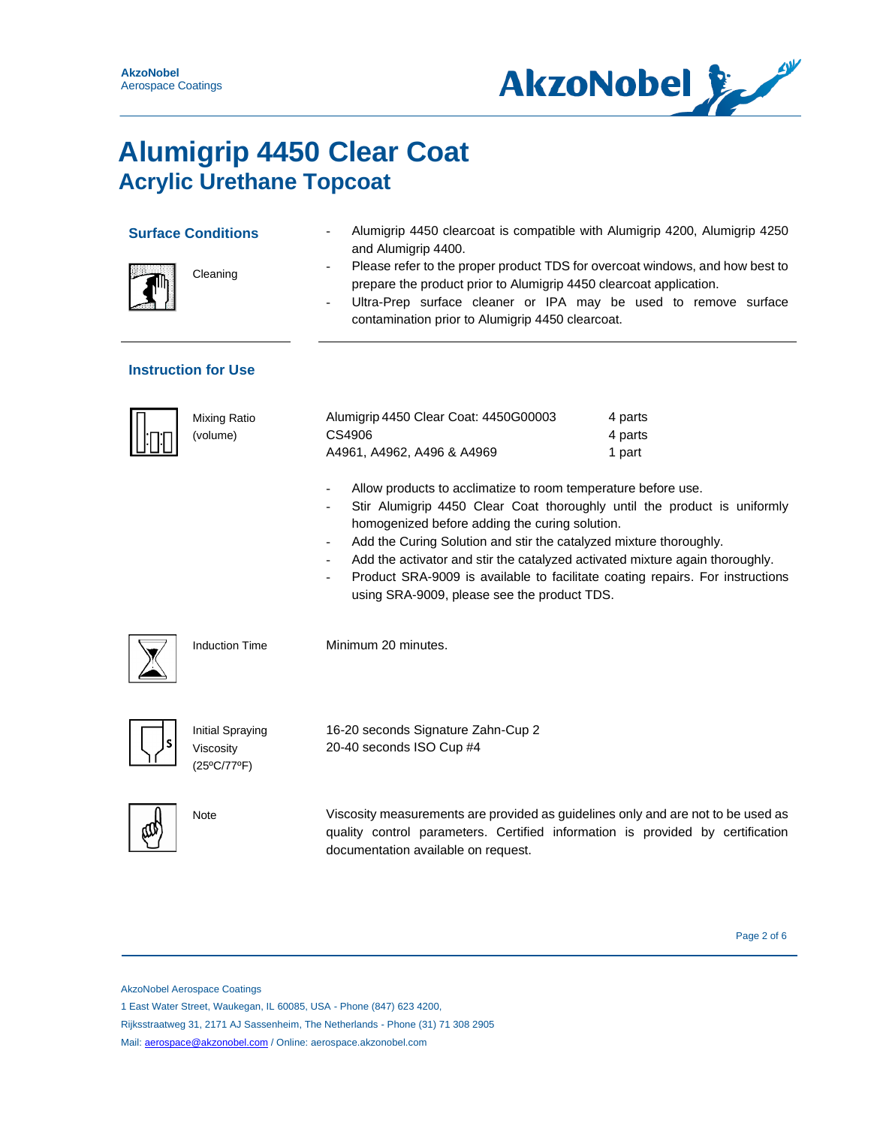

| <b>Surface Conditions</b>  | Cleaning                                            | Alumigrip 4450 clearcoat is compatible with Alumigrip 4200, Alumigrip 4250<br>and Alumigrip 4400.<br>Please refer to the proper product TDS for overcoat windows, and how best to<br>prepare the product prior to Alumigrip 4450 clearcoat application.<br>Ultra-Prep surface cleaner or IPA may be used to remove surface<br>$\overline{\phantom{0}}$<br>contamination prior to Alumigrip 4450 clearcoat.                                                                                                    |                              |
|----------------------------|-----------------------------------------------------|---------------------------------------------------------------------------------------------------------------------------------------------------------------------------------------------------------------------------------------------------------------------------------------------------------------------------------------------------------------------------------------------------------------------------------------------------------------------------------------------------------------|------------------------------|
| <b>Instruction for Use</b> |                                                     |                                                                                                                                                                                                                                                                                                                                                                                                                                                                                                               |                              |
|                            | <b>Mixing Ratio</b><br>(volume)                     | Alumigrip 4450 Clear Coat: 4450G00003<br>CS4906<br>A4961, A4962, A496 & A4969                                                                                                                                                                                                                                                                                                                                                                                                                                 | 4 parts<br>4 parts<br>1 part |
|                            |                                                     | Allow products to acclimatize to room temperature before use.<br>Stir Alumigrip 4450 Clear Coat thoroughly until the product is uniformly<br>homogenized before adding the curing solution.<br>Add the Curing Solution and stir the catalyzed mixture thoroughly.<br>$\overline{\phantom{0}}$<br>Add the activator and stir the catalyzed activated mixture again thoroughly.<br>Product SRA-9009 is available to facilitate coating repairs. For instructions<br>using SRA-9009, please see the product TDS. |                              |
|                            | <b>Induction Time</b>                               | Minimum 20 minutes.                                                                                                                                                                                                                                                                                                                                                                                                                                                                                           |                              |
|                            | <b>Initial Spraying</b><br>Viscosity<br>(25°C/77°F) | 16-20 seconds Signature Zahn-Cup 2<br>20-40 seconds ISO Cup #4                                                                                                                                                                                                                                                                                                                                                                                                                                                |                              |
| Note                       |                                                     | Viscosity measurements are provided as guidelines only and are not to be used as<br>quality control parameters. Certified information is provided by certification<br>documentation available on request.                                                                                                                                                                                                                                                                                                     |                              |

Page 2 of 6

AkzoNobel Aerospace Coatings

1 East Water Street, Waukegan, IL 60085, USA - Phone (847) 623 4200,

Rijksstraatweg 31, 2171 AJ Sassenheim, The Netherlands - Phone (31) 71 308 2905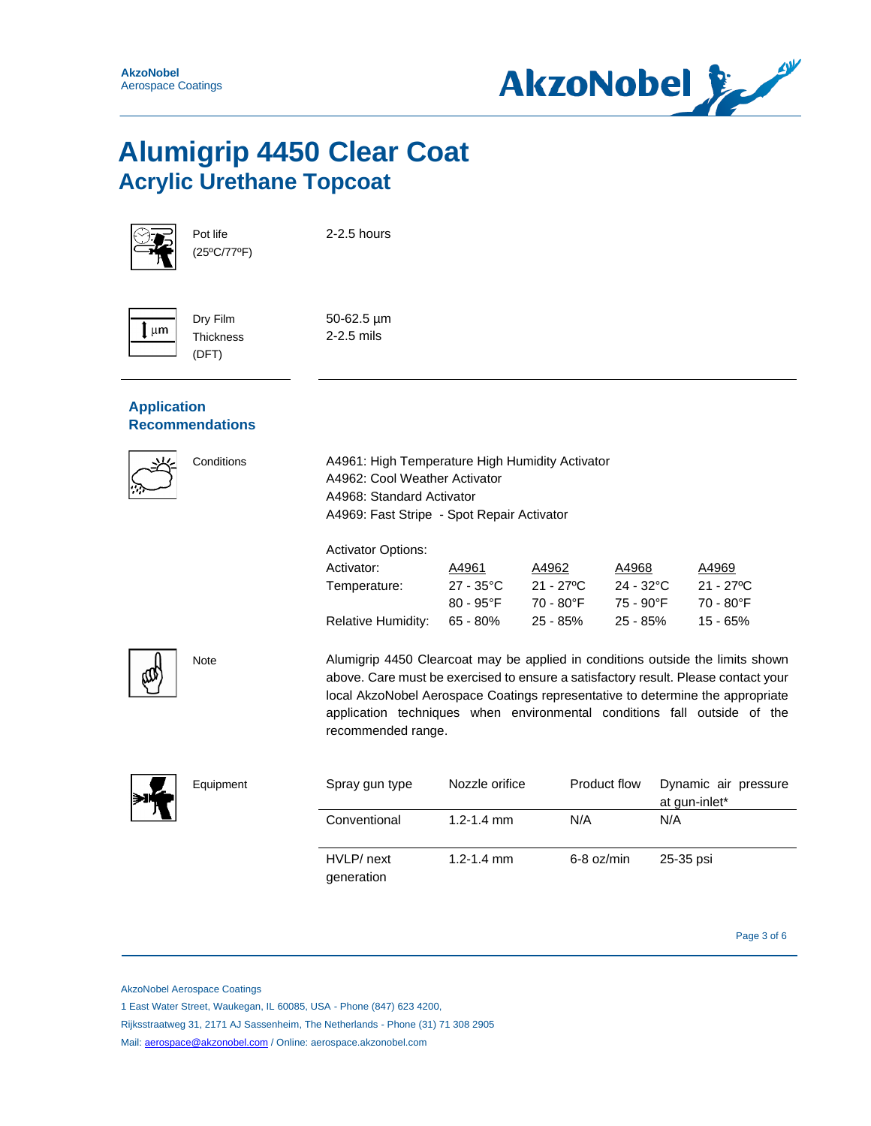



Pot life (25ºC/77ºF)

Dry Film **Thickness** (DFT)

2-2.5 hours

 $\mu$ m

50-62.5 µm 2-2.5 mils

### **Application Recommendations**



Conditions A4961: High Temperature High Humidity Activator A4962: Cool Weather Activator A4968: Standard Activator A4969: Fast Stripe - Spot Repair Activator

#### Activator Options:

| Activator:                | A4961               | A4962      | A4968               | A4969      |
|---------------------------|---------------------|------------|---------------------|------------|
| Temperature:              | $27 - 35^{\circ}$ C | 21 - 27ºC  | $24 - 32^{\circ}$ C | 21 - 27 °C |
|                           | $80 - 95^{\circ}F$  | 70 - 80°F  | 75 - 90°F           | 70 - 80°F  |
| <b>Relative Humidity:</b> | $65 - 80\%$         | $25 - 85%$ | $25 - 85%$          | 15 - 65%   |



Note Alumigrip 4450 Clearcoat may be applied in conditions outside the limits shown above. Care must be exercised to ensure a satisfactory result. Please contact your local AkzoNobel Aerospace Coatings representative to determine the appropriate application techniques when environmental conditions fall outside of the recommended range.



| Equipment | Spray gun type           | Nozzle orifice | Product flow | Dynamic air pressure<br>at gun-inlet* |
|-----------|--------------------------|----------------|--------------|---------------------------------------|
|           | Conventional             | 1.2-1.4 mm     | N/A          | N/A                                   |
|           | HVLP/ next<br>generation | $1.2 - 1.4$ mm | 6-8 oz/min   | 25-35 psi                             |

Page 3 of 6 Page 3 of 6

AkzoNobel Aerospace Coatings

1 East Water Street, Waukegan, IL 60085, USA - Phone (847) 623 4200,

Rijksstraatweg 31, 2171 AJ Sassenheim, The Netherlands - Phone (31) 71 308 2905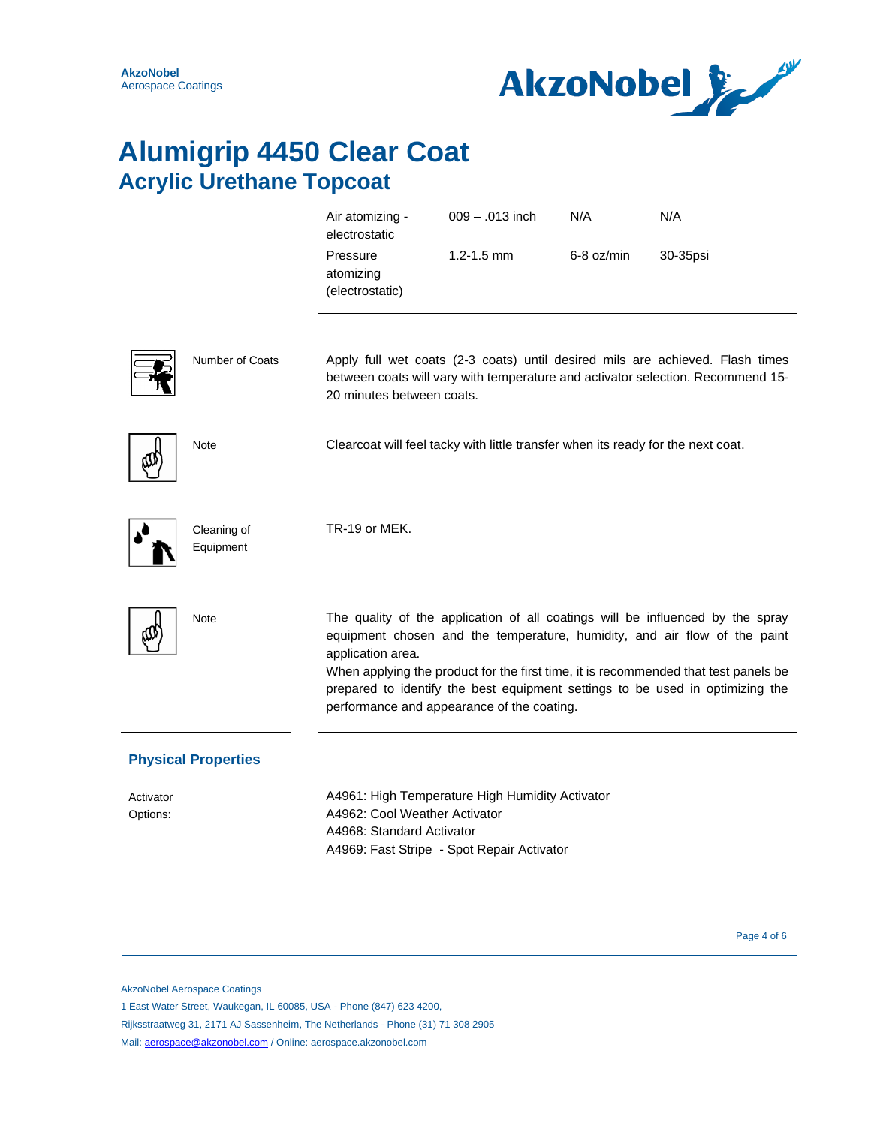

|                       |                            | Air atomizing -<br>electrostatic                           | 009 - .013 inch                                                                               | N/A        | N/A                                                                                                                                                                                                                                                                                                                                 |
|-----------------------|----------------------------|------------------------------------------------------------|-----------------------------------------------------------------------------------------------|------------|-------------------------------------------------------------------------------------------------------------------------------------------------------------------------------------------------------------------------------------------------------------------------------------------------------------------------------------|
|                       |                            | Pressure<br>atomizing<br>(electrostatic)                   | $1.2 - 1.5$ mm                                                                                | 6-8 oz/min | 30-35psi                                                                                                                                                                                                                                                                                                                            |
|                       | <b>Number of Coats</b>     | 20 minutes between coats.                                  |                                                                                               |            | Apply full wet coats (2-3 coats) until desired mils are achieved. Flash times<br>between coats will vary with temperature and activator selection. Recommend 15-                                                                                                                                                                    |
|                       | <b>Note</b>                |                                                            | Clearcoat will feel tacky with little transfer when its ready for the next coat.              |            |                                                                                                                                                                                                                                                                                                                                     |
|                       | Cleaning of<br>Equipment   | TR-19 or MEK.                                              |                                                                                               |            |                                                                                                                                                                                                                                                                                                                                     |
|                       | <b>Note</b>                | application area.                                          | performance and appearance of the coating.                                                    |            | The quality of the application of all coatings will be influenced by the spray<br>equipment chosen and the temperature, humidity, and air flow of the paint<br>When applying the product for the first time, it is recommended that test panels be<br>prepared to identify the best equipment settings to be used in optimizing the |
|                       | <b>Physical Properties</b> |                                                            |                                                                                               |            |                                                                                                                                                                                                                                                                                                                                     |
| Activator<br>Options: |                            | A4962: Cool Weather Activator<br>A4968: Standard Activator | A4961: High Temperature High Humidity Activator<br>A4969: Fast Stripe - Spot Repair Activator |            |                                                                                                                                                                                                                                                                                                                                     |

Page 4 of 6 Page 4 of 6 Page 4 of 6 Page 4 of 6 Page 4 of 6 Page 4 of 6 Page 4 of 6 Page 4 of 6 Page 4 of 6 Page 4 of 6 Page 4 of 6 Page 4 of 6 Page 4 of 6 Page 4 of 6 Page 4 of 6 Page 4 of 6 Page 4 of 6 Page 4 of 6 Page 4

AkzoNobel Aerospace Coatings

1 East Water Street, Waukegan, IL 60085, USA - Phone (847) 623 4200,

Rijksstraatweg 31, 2171 AJ Sassenheim, The Netherlands - Phone (31) 71 308 2905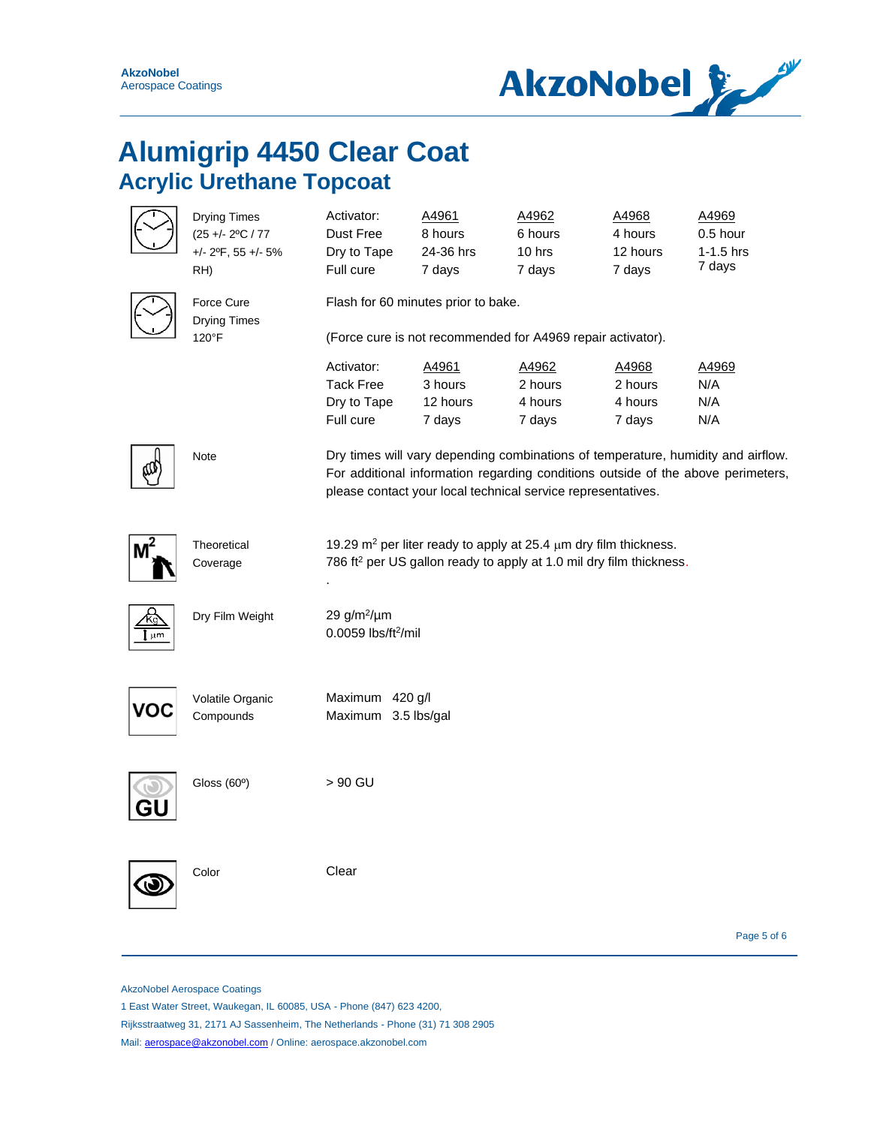

|                | <b>Drying Times</b><br>(25 +/- 2°C / 77<br>$+/- 2$ <sup>o</sup> F, 55 $+/- 5%$<br>RH) | Activator:<br>Dust Free<br>Dry to Tape<br>Full cure        | A4961<br>8 hours<br>24-36 hrs<br>7 days | A4962<br>6 hours<br>$10$ hrs<br>7 days                                                                                                                               | A4968<br>4 hours<br>12 hours<br>7 days | A4969<br>0.5 hour<br>$1-1.5$ hrs<br>7 days                                                                                                                           |
|----------------|---------------------------------------------------------------------------------------|------------------------------------------------------------|-----------------------------------------|----------------------------------------------------------------------------------------------------------------------------------------------------------------------|----------------------------------------|----------------------------------------------------------------------------------------------------------------------------------------------------------------------|
|                | Force Cure<br><b>Drying Times</b>                                                     | Flash for 60 minutes prior to bake.                        |                                         |                                                                                                                                                                      |                                        |                                                                                                                                                                      |
|                | 120°F                                                                                 |                                                            |                                         | (Force cure is not recommended for A4969 repair activator).                                                                                                          |                                        |                                                                                                                                                                      |
|                |                                                                                       | Activator:<br><b>Tack Free</b><br>Dry to Tape<br>Full cure | A4961<br>3 hours<br>12 hours<br>7 days  | A4962<br>2 hours<br>4 hours<br>7 days                                                                                                                                | A4968<br>2 hours<br>4 hours<br>7 days  | A4969<br>N/A<br>N/A<br>N/A                                                                                                                                           |
|                | Note                                                                                  |                                                            |                                         | please contact your local technical service representatives.                                                                                                         |                                        | Dry times will vary depending combinations of temperature, humidity and airflow.<br>For additional information regarding conditions outside of the above perimeters, |
| M <sup>2</sup> | Theoretical<br>Coverage                                                               |                                                            |                                         | 19.29 m <sup>2</sup> per liter ready to apply at 25.4 $\mu$ m dry film thickness.<br>786 ft <sup>2</sup> per US gallon ready to apply at 1.0 mil dry film thickness. |                                        |                                                                                                                                                                      |
| µm             | Dry Film Weight                                                                       | 29 $g/m^2/\mu m$<br>0.0059 lbs/ft <sup>2</sup> /mil        |                                         |                                                                                                                                                                      |                                        |                                                                                                                                                                      |
|                | Volatile Organic<br>Compounds                                                         | Maximum 420 g/l<br>Maximum 3.5 lbs/gal                     |                                         |                                                                                                                                                                      |                                        |                                                                                                                                                                      |
|                | Gloss (60°)                                                                           | > 90 GU                                                    |                                         |                                                                                                                                                                      |                                        |                                                                                                                                                                      |
|                | Color                                                                                 | Clear                                                      |                                         |                                                                                                                                                                      |                                        |                                                                                                                                                                      |

Page 5 of 6

AkzoNobel Aerospace Coatings

1 East Water Street, Waukegan, IL 60085, USA - Phone (847) 623 4200,

Rijksstraatweg 31, 2171 AJ Sassenheim, The Netherlands - Phone (31) 71 308 2905